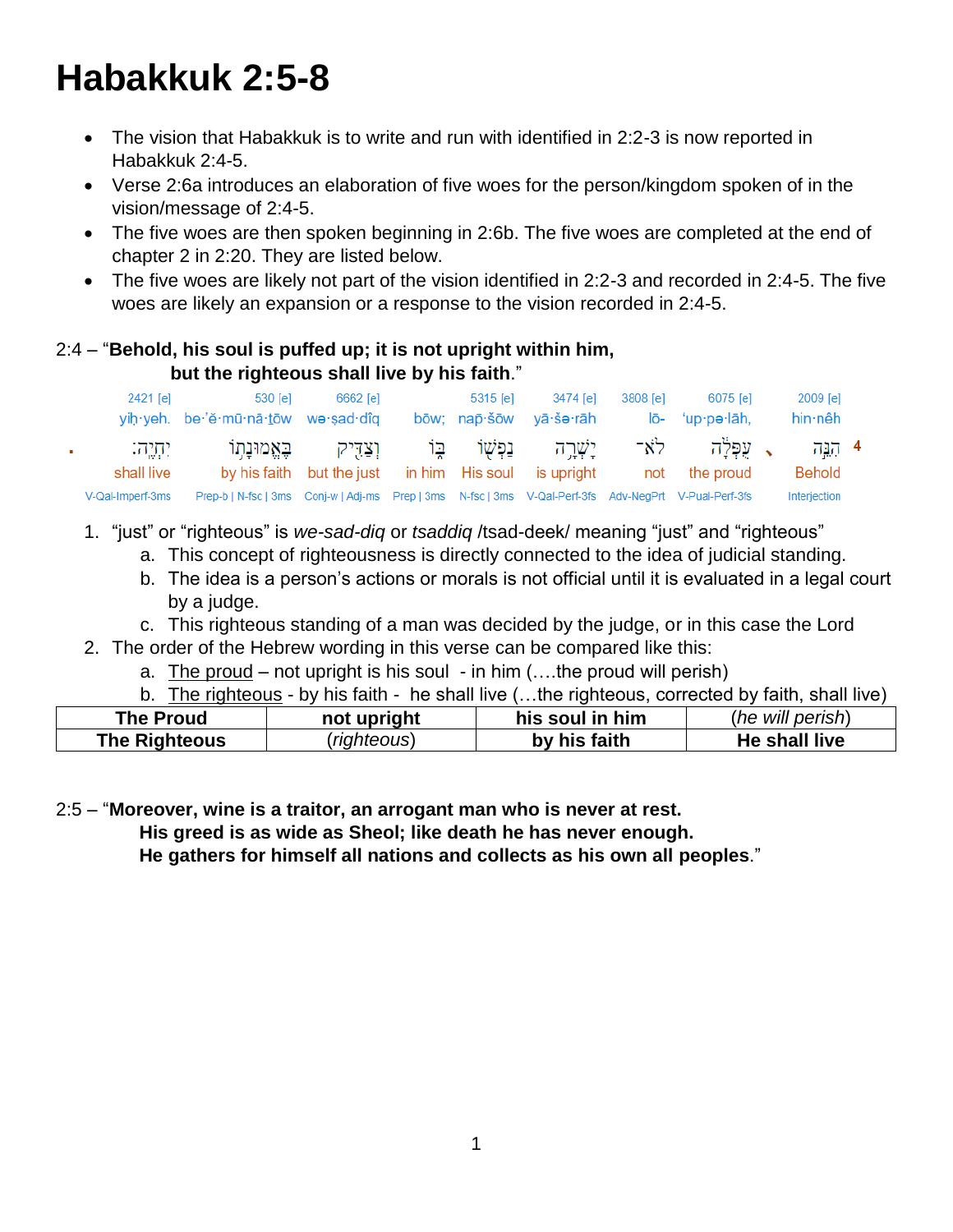# **Habakkuk 2:5-8**

- The vision that Habakkuk is to write and run with identified in 2:2-3 is now reported in Habakkuk 2:4-5.
- Verse 2:6a introduces an elaboration of five woes for the person/kingdom spoken of in the vision/message of 2:4-5.
- The five woes are then spoken beginning in 2:6b. The five woes are completed at the end of chapter 2 in 2:20. They are listed below.
- The five woes are likely not part of the vision identified in 2:2-3 and recorded in 2:4-5. The five woes are likely an expansion or a response to the vision recorded in 2:4-5.

#### 2:4 – "**Behold, his soul is puffed up; it is not upright within him, but the righteous shall live by his faith**."

|    | 2421 [e]             | 530 [e]<br>yih yeh. be 'ĕ mū nā tōw we sad dîq                                                        | 6662 [e]                                                              | 5315 [e] | 3474 [e]<br>bōw: nap·šōw vā·še·rāh | 3808 [e] | 6075 [e]<br>$I\bar{o}$ - 'up·pə·lāh, | 2009 [e]<br>hin nêh |  |
|----|----------------------|-------------------------------------------------------------------------------------------------------|-----------------------------------------------------------------------|----------|------------------------------------|----------|--------------------------------------|---------------------|--|
| a. | י תיה:<br>shall live |                                                                                                       | וצדיק באמונתו<br>by his faith but the just in him His soul is upright |          | יַשָּׁרֵה נַפְשָׁוֹ בָּוֹ          |          | ג עפלה לא־<br>not the proud          | 4 بريہ<br>Behold    |  |
|    | V-Qal-Imperf-3ms     | Prep-b   N-fsc   3ms Conj-w   Adj-ms Prep   3ms N-fsc   3ms V-Qal-Perf-3fs Adv-NegPrt V-Pual-Perf-3fs |                                                                       |          |                                    |          |                                      | Interjection        |  |

- 1. "just" or "righteous" is *we-sad-diq* or *tsaddiq* /tsad-deek/ meaning "just" and "righteous"
	- a. This concept of righteousness is directly connected to the idea of judicial standing.
	- b. The idea is a person's actions or morals is not official until it is evaluated in a legal court by a judge.
	- c. This righteous standing of a man was decided by the judge, or in this case the Lord
- 2. The order of the Hebrew wording in this verse can be compared like this:
	- a. The proud not upright is his soul in him  $(...$  the proud will perish)
	- b. The righteous by his faith he shall live (…the righteous, corrected by faith, shall live)

| <b>The Proud</b> | not upright      | his soul in him | (he will perish) |
|------------------|------------------|-----------------|------------------|
| The Righteous    | <i>righteous</i> | by his faith    | He shall live    |

2:5 – "**Moreover, wine is a traitor, an arrogant man who is never at rest. His greed is as wide as Sheol; like death he has never enough.** 

 **He gathers for himself all nations and collects as his own all peoples**."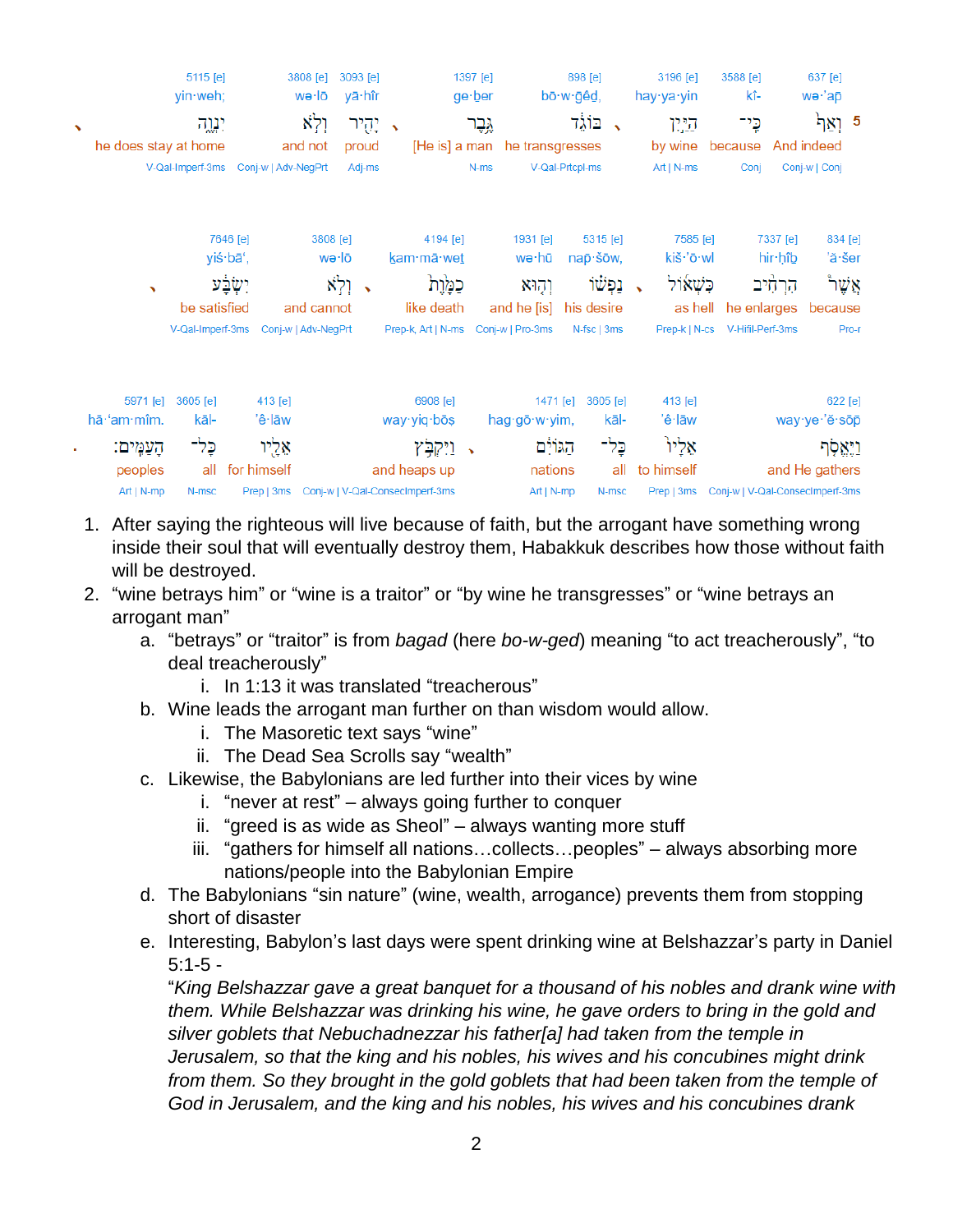| $\overline{\phantom{a}}$ | he does stay at home                                            | 5115 [e]<br>yin weh;<br>יגוה                         |                                                          | 3808 [e]<br>wə∙lō<br>ולא<br>and not                             | 3093 [e]<br>yā hîr<br>יְהֻיר<br>proud | $\overline{\phantom{a}}$<br>[He is] a man                                                                | 1397 [e]<br>ge:ber<br>גֶּבֶר | he transgresses                                               | 898 [e]<br>bō∙w∙ğêd,<br>בוֹגֶד                                                   | 3196 [e]<br>hay∙ya∙yin<br>היוו<br>by wine                       | 3588 [e]<br>kî-<br>כֶּי־<br>because                                                   | 637 [e]<br>wə·'ap<br>ואל<br>- 5<br>And indeed                                               |
|--------------------------|-----------------------------------------------------------------|------------------------------------------------------|----------------------------------------------------------|-----------------------------------------------------------------|---------------------------------------|----------------------------------------------------------------------------------------------------------|------------------------------|---------------------------------------------------------------|----------------------------------------------------------------------------------|-----------------------------------------------------------------|---------------------------------------------------------------------------------------|---------------------------------------------------------------------------------------------|
|                          |                                                                 | V-Qal-Imperf-3ms<br>be satisfied<br>V-Qal-Imperf-3ms | Coni-w   Adv-NeaPrt<br>7646 [e]<br>yiś·bā',              | 3808 [e]<br>wə·lō<br>וְלְא<br>and cannot<br>Conj-w   Adv-NegPrt | Adj-ms<br>٠                           | 4194 [e]<br>kam·mā·wet<br>כמֲוֶת<br>like death<br>Prep-k, Art   N-ms Conj-w   Pro-3ms                    | $N-ms$                       | 1931 [e]<br>wə∙hū<br>וְהָוּא<br>and he [is]                   | V-Qal-Prtcpl-ms<br>$5315$ [e]<br>nap · šōw,<br>ופשו<br>his desire<br>N-fsc   3ms | $Art   N-ms$<br>7585 [e]<br>kiš·'ō·wl<br>ֿכִּשָׁאוֹל<br>as hell | Coni<br>7337 [e]<br>hir·hîb<br>הרחיב<br>he enlarges<br>Prep-k   N-cs V-Hifil-Perf-3ms | Conj-w   Conj<br>834 [e]<br>'ă·šer<br>אֲשֶׁר<br>because<br>Pro-r                            |
| ٠                        | 5971 [e]<br>hā·'am·mîm.<br>הַעֲמֵים:<br>peoples<br>$Art   N-mp$ | 3605 [e]<br>kāl-<br>כֶּל־<br>all<br>N-msc            | 413 [e]<br>'ê∙lāw<br>אֵלֶיו<br>for himself<br>Prep   3ms |                                                                 |                                       | 6908 [e]<br>way yiq bos<br>ויִקְבְּץ<br>$\rightarrow$<br>and heaps up<br>Conj-w   V-Qal-ConsecImperf-3ms |                              | 1471 [e]<br>hag∙gō·w·yim,<br>הגוֹיִם<br>nations<br>Art   N-mp | 3605 [e]<br>kāl-<br>בָּלִד<br>all<br>N-msc                                       | 413 [e]<br>'ê·lāw<br>אֵלֵיוּ<br>to himself<br>Prep   3ms        |                                                                                       | 622 [e]<br>way·ye·'ĕ·sōp<br>וַיָּאֱסָך<br>and He gathers<br>Conj-w   V-Qal-Consecimperf-3ms |

- 1. After saying the righteous will live because of faith, but the arrogant have something wrong inside their soul that will eventually destroy them, Habakkuk describes how those without faith will be destroyed.
- 2. "wine betrays him" or "wine is a traitor" or "by wine he transgresses" or "wine betrays an arrogant man"
	- a. "betrays" or "traitor" is from *bagad* (here *bo-w-ged*) meaning "to act treacherously", "to deal treacherously"
		- i. In 1:13 it was translated "treacherous"
	- b. Wine leads the arrogant man further on than wisdom would allow.
		- i. The Masoretic text says "wine"
		- ii. The Dead Sea Scrolls say "wealth"
	- c. Likewise, the Babylonians are led further into their vices by wine
		- i. "never at rest" always going further to conquer
		- ii. "greed is as wide as Sheol" always wanting more stuff
		- iii. "gathers for himself all nations…collects…peoples" always absorbing more nations/people into the Babylonian Empire
	- d. The Babylonians "sin nature" (wine, wealth, arrogance) prevents them from stopping short of disaster
	- e. Interesting, Babylon's last days were spent drinking wine at Belshazzar's party in Daniel  $5:1-5-$

"*King Belshazzar gave a great banquet for a thousand of his nobles and drank wine with them. While Belshazzar was drinking his wine, he gave orders to bring in the gold and silver goblets that Nebuchadnezzar his father[a] had taken from the temple in Jerusalem, so that the king and his nobles, his wives and his concubines might drink from them. So they brought in the gold goblets that had been taken from the temple of God in Jerusalem, and the king and his nobles, his wives and his concubines drank*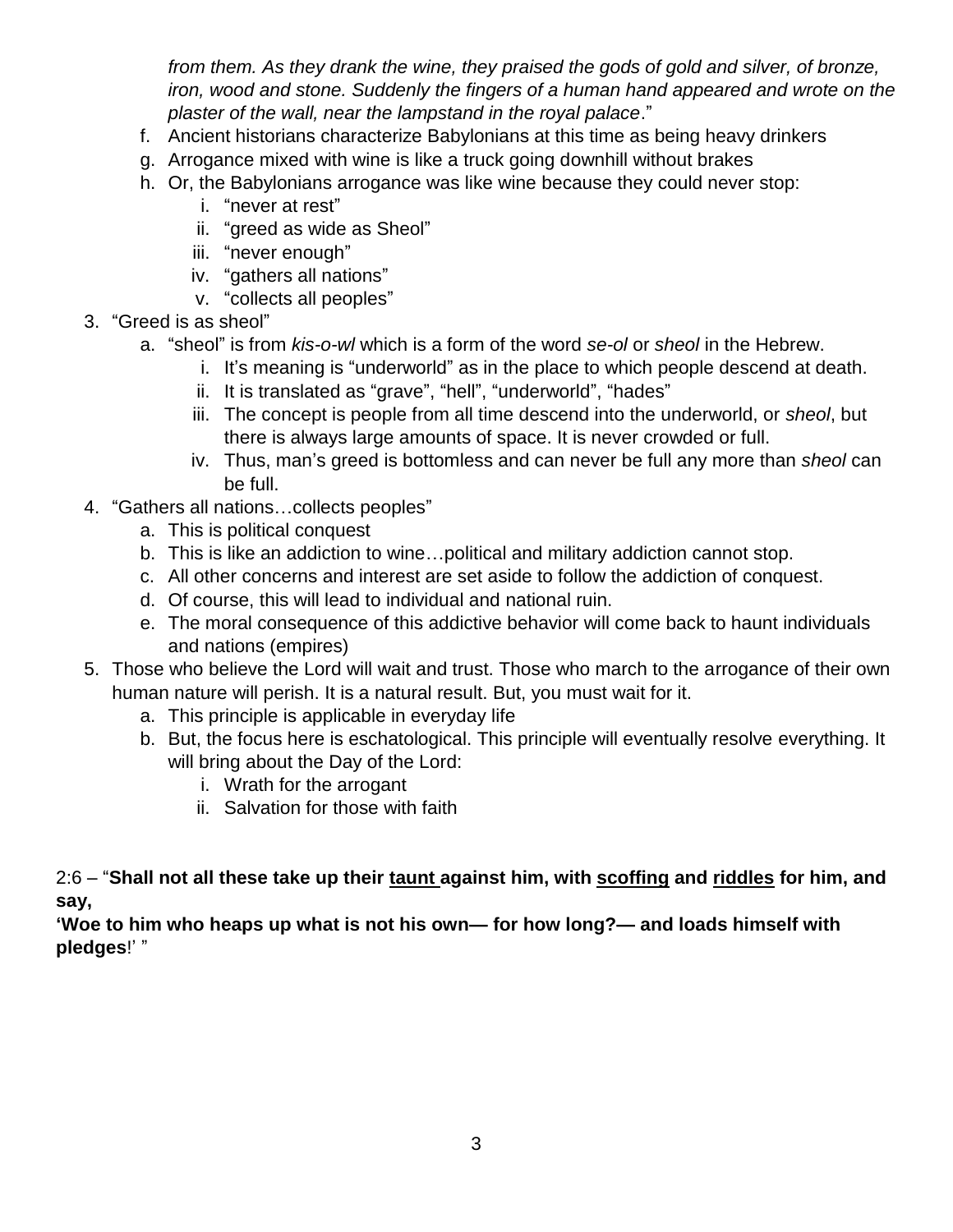*from them. As they drank the wine, they praised the gods of gold and silver, of bronze, iron, wood and stone. Suddenly the fingers of a human hand appeared and wrote on the plaster of the wall, near the lampstand in the royal palace*."

- f. Ancient historians characterize Babylonians at this time as being heavy drinkers
- g. Arrogance mixed with wine is like a truck going downhill without brakes
- h. Or, the Babylonians arrogance was like wine because they could never stop:
	- i. "never at rest"
	- ii. "greed as wide as Sheol"
	- iii. "never enough"
	- iv. "gathers all nations"
	- v. "collects all peoples"
- 3. "Greed is as sheol"
	- a. "sheol" is from *kis-o-wl* which is a form of the word *se-ol* or *sheol* in the Hebrew.
		- i. It's meaning is "underworld" as in the place to which people descend at death.
		- ii. It is translated as "grave", "hell", "underworld", "hades"
		- iii. The concept is people from all time descend into the underworld, or *sheol*, but there is always large amounts of space. It is never crowded or full.
		- iv. Thus, man's greed is bottomless and can never be full any more than *sheol* can be full.
- 4. "Gathers all nations…collects peoples"
	- a. This is political conquest
	- b. This is like an addiction to wine…political and military addiction cannot stop.
	- c. All other concerns and interest are set aside to follow the addiction of conquest.
	- d. Of course, this will lead to individual and national ruin.
	- e. The moral consequence of this addictive behavior will come back to haunt individuals and nations (empires)
- 5. Those who believe the Lord will wait and trust. Those who march to the arrogance of their own human nature will perish. It is a natural result. But, you must wait for it.
	- a. This principle is applicable in everyday life
	- b. But, the focus here is eschatological. This principle will eventually resolve everything. It will bring about the Day of the Lord:
		- i. Wrath for the arrogant
		- ii. Salvation for those with faith

2:6 – "**Shall not all these take up their taunt against him, with scoffing and riddles for him, and say,** 

**'Woe to him who heaps up what is not his own— for how long?— and loads himself with pledges**!' "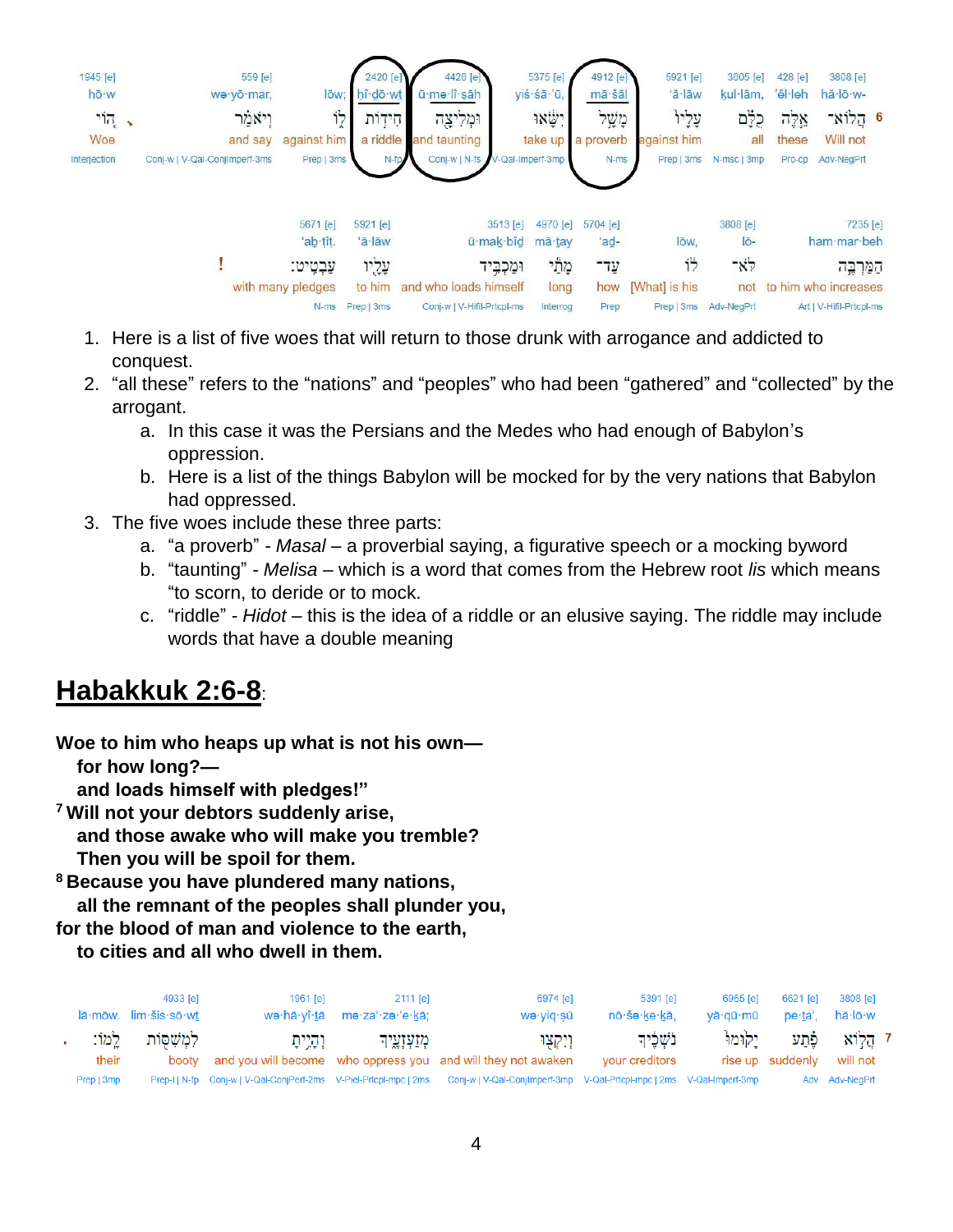

- 1. Here is a list of five woes that will return to those drunk with arrogance and addicted to conquest.
- 2. "all these" refers to the "nations" and "peoples" who had been "gathered" and "collected" by the arrogant.
	- a. In this case it was the Persians and the Medes who had enough of Babylon's oppression.
	- b. Here is a list of the things Babylon will be mocked for by the very nations that Babylon had oppressed.
- 3. The five woes include these three parts:
	- a. "a proverb" *- Masal* a proverbial saying, a figurative speech or a mocking byword
	- b. "taunting" *- Melisa* which is a word that comes from the Hebrew root *lis* which means "to scorn, to deride or to mock.
	- c. "riddle" *- Hidot* this is the idea of a riddle or an elusive saying. The riddle may include words that have a double meaning

## **Habakkuk 2:6-8**:

**Woe to him who heaps up what is not his own for how long?—**

 **and loads himself with pledges!"**

**<sup>7</sup> Will not your debtors suddenly arise,**

 **and those awake who will make you tremble?**

 **Then you will be spoil for them.**

**<sup>8</sup> Because you have plundered many nations,**

 **all the remnant of the peoples shall plunder you,**

**for the blood of man and violence to the earth,**

 **to cities and all who dwell in them.**

|            | 4933 [e]<br>$l\bar{a}$ ·mōw. $lim \dot{ }$ sis·sō·wt | 1961 [e]  | 2111 le1<br>wə·hā·yî·tā mə·za'·zə·'e·kā; | 6974 [e]<br>wə∙yiq∙sū                                                                                                                   | 5391 [e]<br>nō∙šə∙ke∙kā,     | 6965 [e]<br>vā·gū·mū | 6621 lel<br>ōe·ta'.      | 3808 [e]<br>hă∙lō∙w |  |
|------------|------------------------------------------------------|-----------|------------------------------------------|-----------------------------------------------------------------------------------------------------------------------------------------|------------------------------|----------------------|--------------------------|---------------------|--|
| their      | לְמִשְׁסוֹת לַמוֹ:                                   | וְהָיִיתָ | מַזַעִזְעֵיך                             | ויקצו<br>booty and you will become who oppress you and will they not awaken                                                             | בֹשָׁכֵרִד<br>your creditors | יקומו                | פֿתע<br>rise up suddenly | ז הלוא<br>will not  |  |
| Prep   3mp |                                                      |           |                                          | Prep-I   N-fp Conj-w   V-Qal-ConjPerf-2ms V-Piel-Prtcpl-mpc   2ms Conj-w   V-Qal-ConjImperf-3mp V-Qal-Prtcpl-mpc   2ms V-Qal-Imperf-3mp |                              |                      |                          | Adv Adv-NegPrt      |  |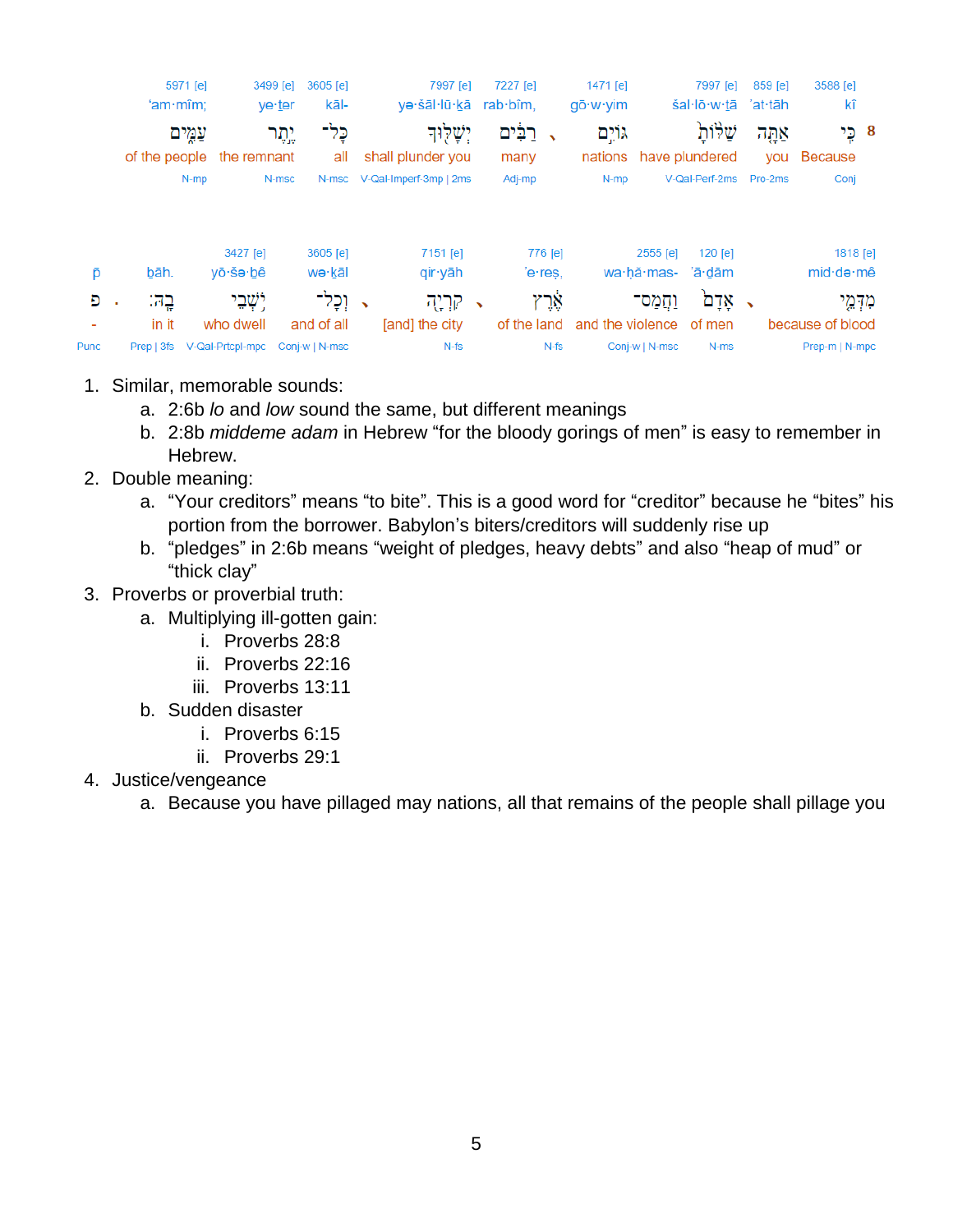|      | 'am·m <sub>i</sub> m | 5971 [e]                                 | 3499 [e]<br>3605 [e]<br>kāl-<br>ye ter |   | 7997 [e]<br>yə·šāl·lū·kā        |            | 7227 [e]<br>rab·bîm. | 1471 [e]<br>$q\bar{o} \cdot w \cdot \text{v}$ im |                | 7997 [e]<br>šal·lō·w·tā        | 859 [e]<br>'at·tāh | 3588 [e]<br>kî                            |
|------|----------------------|------------------------------------------|----------------------------------------|---|---------------------------------|------------|----------------------|--------------------------------------------------|----------------|--------------------------------|--------------------|-------------------------------------------|
|      |                      | עמים<br>of the people the remnant        | כֶּל־<br>יֵתֵר<br>all                  |   | יִשְׁלִוּד<br>shall plunder you |            | רַבִּים<br>many      | גּוֹיֵם<br>nations                               |                | שלות<br>have plundered         | אתה                | 8 כֵי<br>you Because                      |
|      |                      | $N-mp$                                   | N-msc                                  |   | N-msc V-Qal-Imperf-3mp   2ms    |            | Adj-mp               | $N-mp$                                           |                | V-Qal-Perf-2ms Pro-2ms         |                    | Conj                                      |
| P    | bāh.                 | 3427 [e]<br>yō·šə·bê                     | 3605 [e]<br>wə∙kāl                     |   | 7151 [e]<br>qir∙yāh             |            | 776 [e]<br>'e·res,   |                                                  | 2555 [e]       | $120$ [e]<br>wa·hă·mas- 'ā·dām |                    | 1818 [e]<br>$mid \cdot de \cdot m\hat{e}$ |
| Đ    | בה:                  | יִשְׁבֵי                                 | וְכָל־                                 | ↖ | קריה                            | $\sqrt{2}$ | אָרץ                 |                                                  | וַחֲמַס־       | ּאָדָם                         |                    | מדְמֵי                                    |
| Punc | in it                | who dwell<br>Prep   3fs V-Qal-Prtcpl-mpc | and of all<br>Conj-w   N-msc           |   | [and] the city<br>$N-fs$        |            | of the land<br>N-fs  | and the violence of men                          | Conj-w   N-msc | N-ms                           |                    | because of blood<br>Prep-m   N-mpc        |

- 1. Similar, memorable sounds:
	- a. 2:6b *lo* and *low* sound the same, but different meanings
	- b. 2:8b *middeme adam* in Hebrew "for the bloody gorings of men" is easy to remember in Hebrew.
- 2. Double meaning:
	- a. "Your creditors" means "to bite". This is a good word for "creditor" because he "bites" his portion from the borrower. Babylon's biters/creditors will suddenly rise up
	- b. "pledges" in 2:6b means "weight of pledges, heavy debts" and also "heap of mud" or "thick clay"
- 3. Proverbs or proverbial truth:
	- a. Multiplying ill-gotten gain:
		- i. Proverbs 28:8
		- ii. Proverbs 22:16
		- iii. Proverbs 13:11
	- b. Sudden disaster
		- i. Proverbs 6:15
		- ii. Proverbs 29:1
- 4. Justice/vengeance
	- a. Because you have pillaged may nations, all that remains of the people shall pillage you